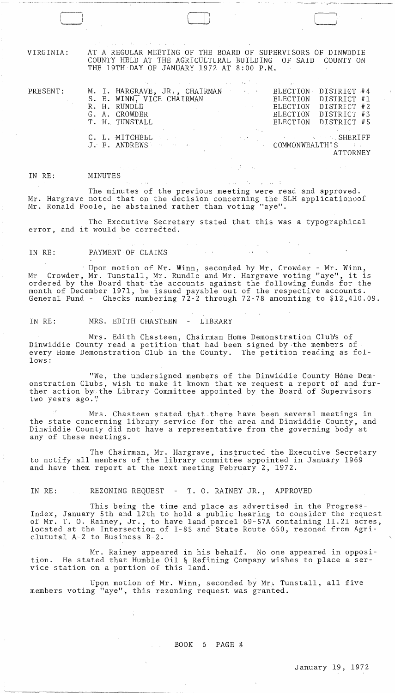VIRGINIA:

r , ! ! I I \_\_\_\_\_ I

AT A REGULAR MEETING OF THE BOARD OF SUPERVISORS OF DINWDDIE COUNTY HELD AT THE AGRICULTURAL BUILDING OF SAID COUNTY ON THE 19TH DAY OF JANUARY 1972 AT 8:00 P.M.

CJ

PRESENT:

 $\sim$ 

|  | ,我们也不会有什么。""我们,我们也不会有什么?""我们,我们也不会有什么?""我们,我们也不会有什么?""我们,我们也不会有什么?""我们,我们也不会有什么?"                                                                                                                                             |                                                                                                                                                                                                                                                                                                                                                                                                                                                             |                      |             |  |
|--|-------------------------------------------------------------------------------------------------------------------------------------------------------------------------------------------------------------------------------|-------------------------------------------------------------------------------------------------------------------------------------------------------------------------------------------------------------------------------------------------------------------------------------------------------------------------------------------------------------------------------------------------------------------------------------------------------------|----------------------|-------------|--|
|  | M. I. HARGRAVE, JR., CHAIRMAN ELECTION DISTRICT #4                                                                                                                                                                            |                                                                                                                                                                                                                                                                                                                                                                                                                                                             |                      |             |  |
|  | S. E. WINN, VICE CHAIRMAN                                                                                                                                                                                                     |                                                                                                                                                                                                                                                                                                                                                                                                                                                             | ELECTION DISTRICT #1 |             |  |
|  | R. H. RUNDLE                                                                                                                                                                                                                  | $\mathcal{L}(\mathcal{L}(\mathcal{L}(\mathcal{L}(\mathcal{L}(\mathcal{L}(\mathcal{L}(\mathcal{L}(\mathcal{L}(\mathcal{L}(\mathcal{L}(\mathcal{L}(\mathcal{L}(\mathcal{L}(\mathcal{L}(\mathcal{L}(\mathcal{L}(\mathcal{L}(\mathcal{L}(\mathcal{L}(\mathcal{L}(\mathcal{L}(\mathcal{L}(\mathcal{L}(\mathcal{L}(\mathcal{L}(\mathcal{L}(\mathcal{L}(\mathcal{L}(\mathcal{L}(\mathcal{L}(\mathcal{L}(\mathcal{L}(\mathcal{L}(\mathcal{L}(\mathcal{L}(\mathcal{$ | ELECTION             | DISTRICT #2 |  |
|  | G. A. CROWDER                                                                                                                                                                                                                 |                                                                                                                                                                                                                                                                                                                                                                                                                                                             | ELECTION DISTRICT #3 |             |  |
|  | T. H. TUNSTALL                                                                                                                                                                                                                |                                                                                                                                                                                                                                                                                                                                                                                                                                                             | ELECTION DISTRICT #5 |             |  |
|  | where the contribution of the contribution of the contribution of the contribution of the contribution of the contribution of the contribution of the contribution of the contribution of the contribution of the contributio |                                                                                                                                                                                                                                                                                                                                                                                                                                                             |                      |             |  |
|  | C. L. MITCHELL Base of the contract of the contract of the SHERIFF                                                                                                                                                            |                                                                                                                                                                                                                                                                                                                                                                                                                                                             |                      |             |  |
|  | J. F. ANDREWS ARE ALL THE COMMONWEALTH'S AND ALL THE COMMONWEALTH'S                                                                                                                                                           |                                                                                                                                                                                                                                                                                                                                                                                                                                                             |                      |             |  |
|  |                                                                                                                                                                                                                               |                                                                                                                                                                                                                                                                                                                                                                                                                                                             |                      | ATTORNEY    |  |
|  |                                                                                                                                                                                                                               |                                                                                                                                                                                                                                                                                                                                                                                                                                                             |                      |             |  |

#### IN RE: MINUTES

The minutes of the previous meeting were read and approved. Mr. Hargrave noted that on the decision concerning the SLH applicationoof Mr. Ronald Poole, he abstained rather than voting "aye".

The Executive Secretary stated that this was a typographical error, and it would be corrected.

## IN RE: PAYMENT OF CLAIMS

Upon motion of Mr. Winn, seconded by Mr. Crowder - Mr. Winn, Mr Crowder, Mr. Tunstall, Mr. Rundle and Mr. Hargrave voting "aye", it is ordered by the Board that the accounts against the following funds for the month of December 1971, be issued payable out of the respective accounts. General Fund - Checks numbering 72-2 through 72-78 amounting to \$12,410.09.

IN RE: MRS. EDITH CHASTEEN - LIBRARY

 $\hat{\lambda}$ 

 $\Delta^{\prime}$ 

Mrs. Edith Chasteen, Chairman Home Demonstration Club's of Dinwiddie County read a petition that had been signed by ·the members of every Home Demonstration Club in the County. The petition reading as follows:

"We, the undersigned members of the Dinwiddie County Home Demonstration Clubs, wish to make it known that we request a report of and further action by the Library Committee appointed by the Board of Supervisors two years ago."

Mrs. Chasteen stated that there have been several meetings in the state concerning library service for the area and Dinwiddie County, and Dinwiddie County did not have a representative from the governing body at any of these meetings.

The Chairman, Mr. Hargrave, instructed the Executive Secretary to notify all members of the library committee appointed in January 1969 and have them report at the next meeting February 2, 1972.

IN RE: REZONING REQUEST - T. O. RAINEY JR., APPROVED

This being the time and place as advertised in the Progress-Index, January 5th and 12th to hold a public hearing to consider the request of Mr. T. O. Rainey, Jr., to have land parcel 69-57A containing 11.21 acres, located at the Intersection of 1-85 and State Route 650, rezoned from Agriclututal A-2 to Business B-2.

Mr. Rainey appeared in his behalf. No one appeared in opposition. He stated that Humble Oil & Refining Company wishes to place a service station on a portion of this land.

Upon motion of Mr. Winn, seconded by Mr. Tunstall, all five members voting "aye", this rezoning request was granted.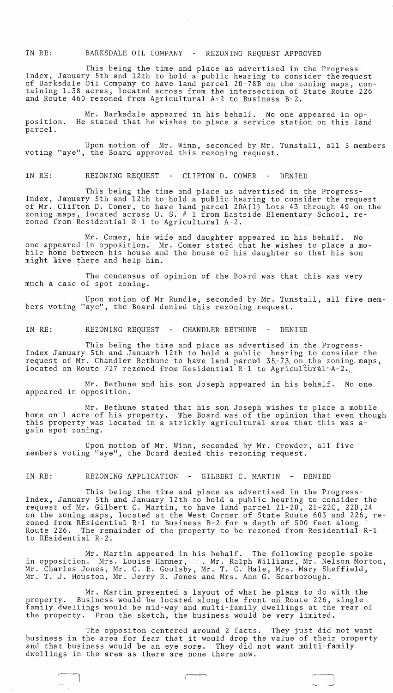IN RE: BARKSDALE OIL COMPANY - REZONING REQUEST APPROVED

This being the time and place as advertised in the Progress-Index, January 5th and 12th to hold a public hearing to consider therequest of Barksdale Oil Company to have land parcel 20-78B on the zoning maps, containing 1.38 acres, located across from the intersection of State Route 226 and Route 460 rezoned from Agricultural *A-2* to Business B-2.

position. parcel. Mr. Barksdale appeared in his behalf. No one appeared in op-He stated that he wishes to place a service station on this land

Upon motion of Mr. Winn, seconded by Mr. Tunstall, all 5 members voting "aye", the Board approved this rezoning request.

IN RE: REZONING REQUEST - CLIFTON D. COMER - DENIED

This being the time and place as advertised in the Progress-Index, January 5th and 12th to hold a public hearing to consider the request of Mr. Clifton D. Comer, to have land parcel 20A(1) Lots 43 through 49 on the zoning maps, located across U. S. # 1 from Eastside Elementary School, rezoned from Residential R-l to Agricultural *A-2.* 

Mr. Comer, his wife and daughter appeared in his behalf. No one appeared in opposition. Mr. Comer stated that he wishes to place a mobile home between his house and the house of his daughter so that his son might bive there and help him.

The concensus of opinion of the Board was that this was very much a case of spot zoning.

Upon motion of Mr Rundle, seconded by Mr. Tunstall, all five members voting "aye", the Board denied this rezoning request.

IN RE: REZONING REQUEST - CHANDLER BETHUNE - DENIED

This being the time and place as advertised in.the Progress-Index January 5th and Januarh 12th to hold a public hearing to consider the request of Mr. Chandler Bethune to have land parcel 35-73 on the zoning maps, located on Route 727 rezoned from Residential R-1 to Agricultural A-2 $_{2,1}$ .

Mr. Bethune and his son Joseph appeared in his behalf. No one appeared in opposition.

Mr. Bethune stated that his son Joseph wishes to place a mobile home on 1 acre of his property. The Board was of the opinion that even though this property was located in a strickly agricultural area that this was again spot zoning.

Upon motion of Mr. Winn, seconded by Mr. Crowder, all five members voting "aye", the Board denied this rezoning request.

IN RE: REZONING APPLICATION - GILBERT C. MARTIN - DENIED

This being the time and place as advertised in the Progress-Index, January 5th and January 12th to hold a public hearing to consider the request of Mr. Gilbert C. Martin, to have land parcel 21-20, 2l-22C, 22B,24 on the zoning maps, located at the West Corner of State Route 603 and 226, rezoned from REsidential R-1 to Business B-2 for a depth of 500 feet along<br>Route 226. The remainder of the property to be rezoned from Residential The remainder of the property to be rezoned from Residential R-1 to REsidential R-2.

Mr. Martin appeared in his behalf. The following people spoke in opposition. Mrs. Louise Hamner, ... Mr. Ralph Williams, Mr. Nelson Morton, Mr. Charles Jones, Mr. C. E. Goolsby, Mr. T. C. Hale, Mrs. Mary Sheffield, Mr. T. J. Houston, Mr. Jerry R. Jones and Mrs. Ann G. Scarborough.

Mr. Martin presented a layout of what he plans to do with the property. Business would be located along the front on Route 226, single family dwellings would be mid-way and multi-family dwellings at the rear of the property. From the sketch, the business would be very limited.

The oppositon centered around 2 facts. They just did not want business in the area for fear that it would drop the value of their property and that business would be an eye sore. They did not want multi-family dwellings in the area as there are none there now.

 $\begin{array}{ccc} \hline \hline \hline \hline \end{array}$ 

I ,

 $\Box$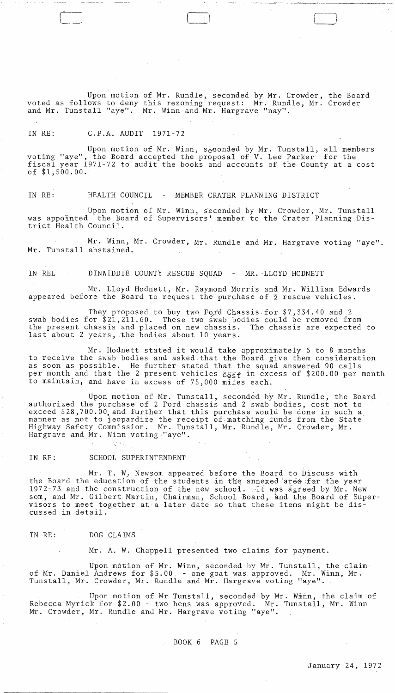Upon motion of Mr. Rundle, seconded by Mr. Crowder, the Board voted as follows to deny this rezoning' request: Mr. Rundle, Mr. Crowder and Mr. Tunstall "aye". Mr. Winn and Mr. Hargrave "nay".

II ) l ~ *\_\_ J* 

# IN RE: C.P.A. AUDIT 1971-72

Upon motion of Mr. Winn, seconded by Mr. Tunstall, all members voting "aye", the Board accepted the proposal of V. Lee Parker for the fiscal year 1971-72 to audit the books and accounts of the County at a cost of \$1,500.00.

IN RE: HEALTH COUNCIL - MEMBER CRATER PLANNING DISTRICT

Upon motion of Mr. Winn, seconded by Mr. Crowder, Mr. Tunstall was appointed the Board of Supervisors' member to the Crater Planning District Health Council.

Mr. Winn, Mr. Crowder, Mr. Rundle and Mr. Hargrave voting "aye". Mr. Tunstall abstained.

IN REL DINWIDDIE COUNTY RESCUE SQUAD - MR. LLOYD HODNETT

Mr. Lloyd Hodnett, Mr. Raymond Morris and Mr. William Edwards appeared before the Board to request the purchase of  $\tilde{z}$  rescue vehicles.

They proposed to buy two Ford Chassis for  $$7,334.40$  and 2 swab bodies for \$21,211.60. These two swab bodies could be removed from the present chassis and placed on new chassis. The chassis are expected to last about 2 years, the bodies about 10 years.

Mr. Hodnett stated it would take approximately 6 to 8 months to receive the swab bodies and asked.that the Board give them consideration as soon as possible. He further stated that the squad answered 90 calls per month and that the 2 present vehicles  $\epsilon_{\mathcal{S}\mathcal{S}\mathcal{X}}$  in excess of \$200.00 per month to maintain, and have in excess of 75,000 miles each.

Upon motion of Mr. Tunstall, seconded by Mr. Rundle, the Board authorized the purchase of 2 Ford chassis and 2 swab bodies, cost not to exceed \$28,700.00, and further that this purchase would be done in such a manner as not to jeopardize the receipt of matching funds from the State Highway Safety Commission. Mr. Tunstall, Mr. Rundle, Mr. Crowder, Mr. Hargrave and Mr. Winn voting "aye".

# IN RE: SCHOOL SUPERINTENDENT

Villa,

Mr. T. W. Newsom appeared before the Board to Discuss with the Board the education of the students in the annexed area for the year 1972-73 and the construction of the new school. It was agreed by Mr. Newsom, and Mr. Gilbert Martin, Chairman, School Board, and the Board of Supersom, and Mr. Gilbert Martin, Chairman, School Board, and the Board of Sup<br>visors to meet together at a later date so that these items might be dis-<br>cussed in detail.

## IN RE: DOG CLAIMS

Mr. A. W. Chappell presented two claims. for payment.

Upon motion of Mr. Winn, seconded by Mr. Tunstall, the claim of Mr. Daniel Andrews for \$5.00. - one goat was approved. Mr. Winn, Mr. Tunstall, Mr. Crowder, Mr. Rundle and Mr. Hargrave voting "aye".

Upon motion of Mr Tunstall, seconded by Mr. Winn, the claim of Rebecca Myrick for \$2.00 - two hens was approved. Mr. Tunstall, Mr. Winn Mr. Crowder, Mr. Rundle and Mr. Hargrave voting "aye".

## BOOK 6 PAGE 5